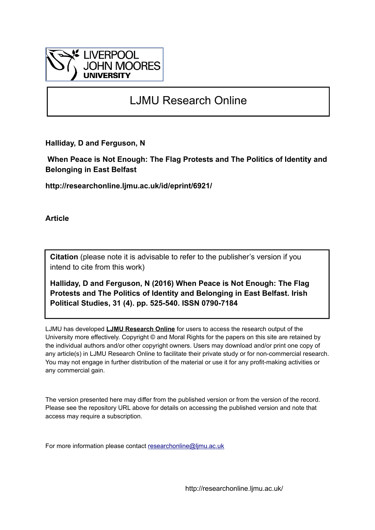

# LJMU Research Online

**Halliday, D and Ferguson, N**

 **When Peace is Not Enough: The Flag Protests and The Politics of Identity and Belonging in East Belfast**

**http://researchonline.ljmu.ac.uk/id/eprint/6921/**

**Article**

**Citation** (please note it is advisable to refer to the publisher's version if you intend to cite from this work)

**Halliday, D and Ferguson, N (2016) When Peace is Not Enough: The Flag Protests and The Politics of Identity and Belonging in East Belfast. Irish Political Studies, 31 (4). pp. 525-540. ISSN 0790-7184** 

LJMU has developed **[LJMU Research Online](http://researchonline.ljmu.ac.uk/)** for users to access the research output of the University more effectively. Copyright © and Moral Rights for the papers on this site are retained by the individual authors and/or other copyright owners. Users may download and/or print one copy of any article(s) in LJMU Research Online to facilitate their private study or for non-commercial research. You may not engage in further distribution of the material or use it for any profit-making activities or any commercial gain.

The version presented here may differ from the published version or from the version of the record. Please see the repository URL above for details on accessing the published version and note that access may require a subscription.

For more information please contact [researchonline@ljmu.ac.uk](mailto:researchonline@ljmu.ac.uk)

http://researchonline.ljmu.ac.uk/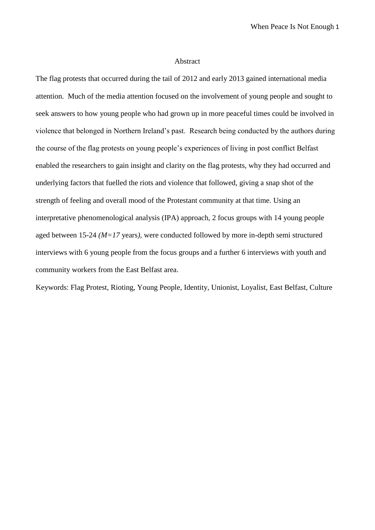#### Abstract

The flag protests that occurred during the tail of 2012 and early 2013 gained international media attention. Much of the media attention focused on the involvement of young people and sought to seek answers to how young people who had grown up in more peaceful times could be involved in violence that belonged in Northern Ireland's past. Research being conducted by the authors during the course of the flag protests on young people's experiences of living in post conflict Belfast enabled the researchers to gain insight and clarity on the flag protests, why they had occurred and underlying factors that fuelled the riots and violence that followed, giving a snap shot of the strength of feeling and overall mood of the Protestant community at that time. Using an interpretative phenomenological analysis (IPA) approach, 2 focus groups with 14 young people aged between 15-24 *(M=17* years*),* were conducted followed by more in-depth semi structured interviews with 6 young people from the focus groups and a further 6 interviews with youth and community workers from the East Belfast area.

Keywords: Flag Protest, Rioting, Young People, Identity, Unionist, Loyalist, East Belfast, Culture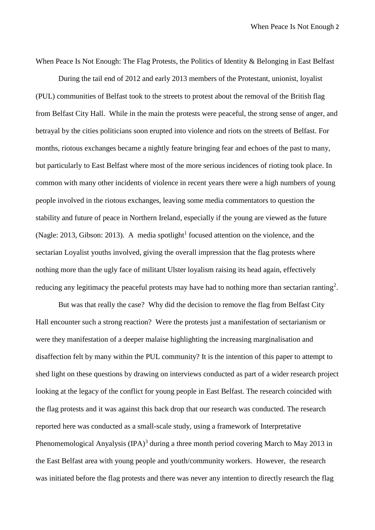When Peace Is Not Enough: The Flag Protests, the Politics of Identity & Belonging in East Belfast

During the tail end of 2012 and early 2013 members of the Protestant, unionist, loyalist (PUL) communities of Belfast took to the streets to protest about the removal of the British flag from Belfast City Hall. While in the main the protests were peaceful, the strong sense of anger, and betrayal by the cities politicians soon erupted into violence and riots on the streets of Belfast. For months, riotous exchanges became a nightly feature bringing fear and echoes of the past to many, but particularly to East Belfast where most of the more serious incidences of rioting took place. In common with many other incidents of violence in recent years there were a high numbers of young people involved in the riotous exchanges, leaving some media commentators to question the stability and future of peace in Northern Ireland, especially if the young are viewed as the future (Nagle: 2013, Gibson: 2013). A media spotlight<sup>1</sup> focused attention on the violence, and the sectarian Loyalist youths involved, giving the overall impression that the flag protests where nothing more than the ugly face of militant Ulster loyalism raising its head again, effectively reducing any legitimacy the peaceful protests may have had to nothing more than sectarian ranting<sup>2</sup>.

But was that really the case? Why did the decision to remove the flag from Belfast City Hall encounter such a strong reaction? Were the protests just a manifestation of sectarianism or were they manifestation of a deeper malaise highlighting the increasing marginalisation and disaffection felt by many within the PUL community? It is the intention of this paper to attempt to shed light on these questions by drawing on interviews conducted as part of a wider research project looking at the legacy of the conflict for young people in East Belfast. The research coincided with the flag protests and it was against this back drop that our research was conducted. The research reported here was conducted as a small-scale study, using a framework of Interpretative Phenomemological Anyalysis  $(IPA)^3$  during a three month period covering March to May 2013 in the East Belfast area with young people and youth/community workers. However, the research was initiated before the flag protests and there was never any intention to directly research the flag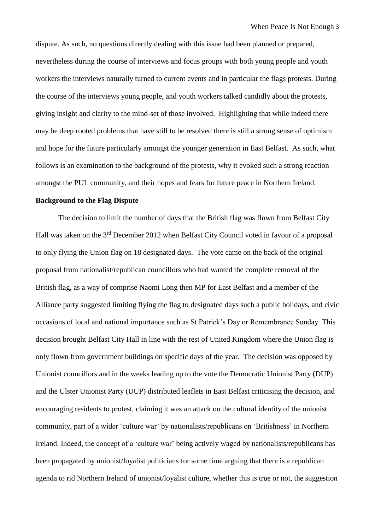dispute. As such, no questions directly dealing with this issue had been planned or prepared, nevertheless during the course of interviews and focus groups with both young people and youth workers the interviews naturally turned to current events and in particular the flags protests. During the course of the interviews young people, and youth workers talked candidly about the protests, giving insight and clarity to the mind-set of those involved. Highlighting that while indeed there may be deep rooted problems that have still to be resolved there is still a strong sense of optimism and hope for the future particularly amongst the younger generation in East Belfast. As such, what follows is an examination to the background of the protests, why it evoked such a strong reaction amongst the PUL community, and their hopes and fears for future peace in Northern Ireland.

## **Background to the Flag Dispute**

The decision to limit the number of days that the British flag was flown from Belfast City Hall was taken on the 3<sup>rd</sup> December 2012 when Belfast City Council voted in favour of a proposal to only flying the Union flag on 18 designated days. The vote came on the back of the original proposal from nationalist/republican councillors who had wanted the complete removal of the British flag, as a way of comprise Naomi Long then MP for East Belfast and a member of the Alliance party suggested limiting flying the flag to designated days such a public holidays, and civic occasions of local and national importance such as St Patrick's Day or Remembrance Sunday. This decision brought Belfast City Hall in line with the rest of United Kingdom where the Union flag is only flown from government buildings on specific days of the year. The decision was opposed by Unionist councillors and in the weeks leading up to the vote the Democratic Unionist Party (DUP) and the Ulster Unionist Party (UUP) distributed leaflets in East Belfast criticising the decision, and encouraging residents to protest, claiming it was an attack on the cultural identity of the unionist community, part of a wider 'culture war' by nationalists/republicans on 'Britishness' in Northern Ireland. Indeed, the concept of a 'culture war' being actively waged by nationalists/republicans has been propagated by unionist/loyalist politicians for some time arguing that there is a republican agenda to rid Northern Ireland of unionist/loyalist culture, whether this is true or not, the suggestion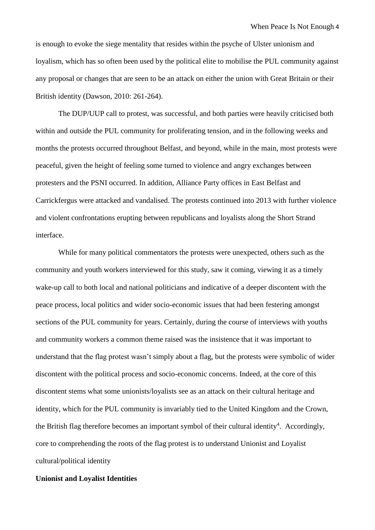is enough to evoke the siege mentality that resides within the psyche of Ulster unionism and loyalism, which has so often been used by the political elite to mobilise the PUL community against any proposal or changes that are seen to be an attack on either the union with Great Britain or their British identity (Dawson, 2010: 261-264).

The DUP/UUP call to protest, was successful, and both parties were heavily criticised both within and outside the PUL community for proliferating tension, and in the following weeks and months the protests occurred throughout Belfast, and beyond, while in the main, most protests were peaceful, given the height of feeling some turned to violence and angry exchanges between protesters and the PSNI occurred. In addition, Alliance Party offices in East Belfast and Carrickfergus were attacked and vandalised. The protests continued into 2013 with further violence and violent confrontations erupting between republicans and loyalists along the Short Strand interface.

While for many political commentators the protests were unexpected, others such as the community and youth workers interviewed for this study, saw it coming, viewing it as a timely wake-up call to both local and national politicians and indicative of a deeper discontent with the peace process, local politics and wider socio-economic issues that had been festering amongst sections of the PUL community for years. Certainly, during the course of interviews with youths and community workers a common theme raised was the insistence that it was important to understand that the flag protest wasn't simply about a flag, but the protests were symbolic of wider discontent with the political process and socio-economic concerns. Indeed, at the core of this discontent stems what some unionists/loyalists see as an attack on their cultural heritage and identity, which for the PUL community is invariably tied to the United Kingdom and the Crown, the British flag therefore becomes an important symbol of their cultural identity<sup>4</sup>. Accordingly, core to comprehending the roots of the flag protest is to understand Unionist and Loyalist cultural/political identity

## **Unionist and Loyalist Identities**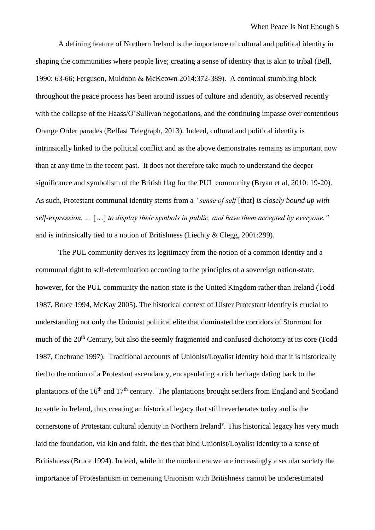A defining feature of Northern Ireland is the importance of cultural and political identity in shaping the communities where people live; creating a sense of identity that is akin to tribal (Bell, 1990: 63-66; Ferguson, Muldoon & McKeown 2014:372-389). A continual stumbling block throughout the peace process has been around issues of culture and identity, as observed recently with the collapse of the Haass/O'Sullivan negotiations, and the continuing impasse over contentious Orange Order parades (Belfast Telegraph, 2013). Indeed, cultural and political identity is intrinsically linked to the political conflict and as the above demonstrates remains as important now than at any time in the recent past. It does not therefore take much to understand the deeper significance and symbolism of the British flag for the PUL community (Bryan et al, 2010: 19-20). As such, Protestant communal identity stems from a *"sense of self* [that] *is closely bound up with self-expression. …* […] *to display their symbols in public, and have them accepted by everyone."*  and is intrinsically tied to a notion of Britishness (Liechty & Clegg, 2001:299).

The PUL community derives its legitimacy from the notion of a common identity and a communal right to self-determination according to the principles of a sovereign nation-state, however, for the PUL community the nation state is the United Kingdom rather than Ireland (Todd 1987, Bruce 1994, McKay 2005). The historical context of Ulster Protestant identity is crucial to understanding not only the Unionist political elite that dominated the corridors of Stormont for much of the 20<sup>th</sup> Century, but also the seemly fragmented and confused dichotomy at its core (Todd 1987, Cochrane 1997). Traditional accounts of Unionist/Loyalist identity hold that it is historically tied to the notion of a Protestant ascendancy, encapsulating a rich heritage dating back to the plantations of the  $16<sup>th</sup>$  and  $17<sup>th</sup>$  century. The plantations brought settlers from England and Scotland to settle in Ireland, thus creating an historical legacy that still reverberates today and is the cornerstone of Protestant cultural identity in Northern Ireland<sup>v</sup>. This historical legacy has very much laid the foundation, via kin and faith, the ties that bind Unionist/Loyalist identity to a sense of Britishness (Bruce 1994). Indeed, while in the modern era we are increasingly a secular society the importance of Protestantism in cementing Unionism with Britishness cannot be underestimated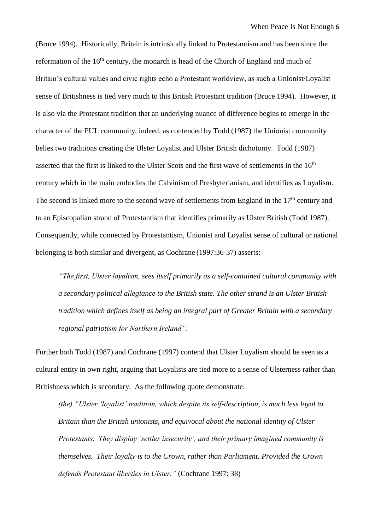(Bruce 1994). Historically, Britain is intrinsically linked to Protestantism and has been since the reformation of the  $16<sup>th</sup>$  century, the monarch is head of the Church of England and much of Britain's cultural values and civic rights echo a Protestant worldview, as such a Unionist/Loyalist sense of Britishness is tied very much to this British Protestant tradition (Bruce 1994). However, it is also via the Protestant tradition that an underlying nuance of difference begins to emerge in the character of the PUL community, indeed, as contended by Todd (1987) the Unionist community belies two traditions creating the Ulster Loyalist and Ulster British dichotomy. Todd (1987) asserted that the first is linked to the Ulster Scots and the first wave of settlements in the 16<sup>th</sup> century which in the main embodies the Calvinism of Presbyterianism, and identifies as Loyalism. The second is linked more to the second wave of settlements from England in the  $17<sup>th</sup>$  century and to an Episcopalian strand of Protestantism that identifies primarily as Ulster British (Todd 1987). Consequently, while connected by Protestantism, Unionist and Loyalist sense of cultural or national belonging is both similar and divergent, as Cochrane (1997:36-37) asserts:

*"The first, Ulster loyalism, sees itself primarily as a self-contained cultural community with a secondary political allegiance to the British state. The other strand is an Ulster British tradition which defines itself as being an integral part of Greater Britain with a secondary regional patriotism for Northern Ireland".*

Further both Todd (1987) and Cochrane (1997) contend that Ulster Loyalism should be seen as a cultural entity in own right, arguing that Loyalists are tied more to a sense of Ulsterness rather than Britishness which is secondary. As the following quote demonstrate:

*(the) "Ulster 'loyalist' tradition, which despite its self-description, is much less loyal to Britain than the British unionists, and equivocal about the national identity of Ulster Protestants. They display 'settler insecurity', and their primary imagined community is themselves. Their loyalty is to the Crown, rather than Parliament. Provided the Crown defends Protestant liberties in Ulster."* (Cochrane 1997: 38)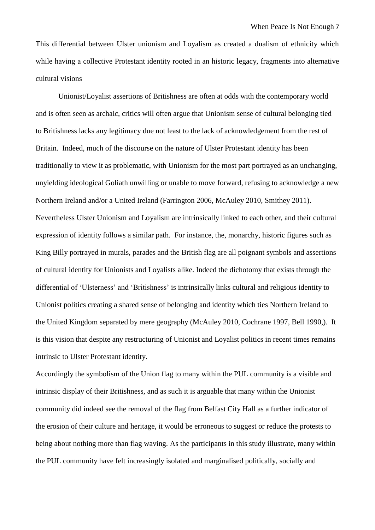This differential between Ulster unionism and Loyalism as created a dualism of ethnicity which while having a collective Protestant identity rooted in an historic legacy, fragments into alternative cultural visions

Unionist/Loyalist assertions of Britishness are often at odds with the contemporary world and is often seen as archaic, critics will often argue that Unionism sense of cultural belonging tied to Britishness lacks any legitimacy due not least to the lack of acknowledgement from the rest of Britain. Indeed, much of the discourse on the nature of Ulster Protestant identity has been traditionally to view it as problematic, with Unionism for the most part portrayed as an unchanging, unyielding ideological Goliath unwilling or unable to move forward, refusing to acknowledge a new Northern Ireland and/or a United Ireland (Farrington 2006, McAuley 2010, Smithey 2011). Nevertheless Ulster Unionism and Loyalism are intrinsically linked to each other, and their cultural expression of identity follows a similar path. For instance, the, monarchy, historic figures such as King Billy portrayed in murals, parades and the British flag are all poignant symbols and assertions of cultural identity for Unionists and Loyalists alike. Indeed the dichotomy that exists through the differential of 'Ulsterness' and 'Britishness' is intrinsically links cultural and religious identity to Unionist politics creating a shared sense of belonging and identity which ties Northern Ireland to the United Kingdom separated by mere geography (McAuley 2010, Cochrane 1997, Bell 1990,). It is this vision that despite any restructuring of Unionist and Loyalist politics in recent times remains intrinsic to Ulster Protestant identity.

Accordingly the symbolism of the Union flag to many within the PUL community is a visible and intrinsic display of their Britishness, and as such it is arguable that many within the Unionist community did indeed see the removal of the flag from Belfast City Hall as a further indicator of the erosion of their culture and heritage, it would be erroneous to suggest or reduce the protests to being about nothing more than flag waving. As the participants in this study illustrate, many within the PUL community have felt increasingly isolated and marginalised politically, socially and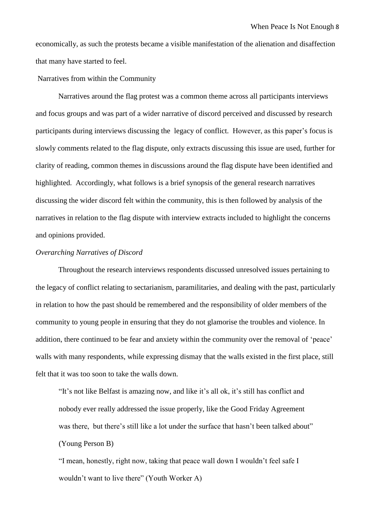economically, as such the protests became a visible manifestation of the alienation and disaffection that many have started to feel.

Narratives from within the Community

Narratives around the flag protest was a common theme across all participants interviews and focus groups and was part of a wider narrative of discord perceived and discussed by research participants during interviews discussing the legacy of conflict. However, as this paper's focus is slowly comments related to the flag dispute, only extracts discussing this issue are used, further for clarity of reading, common themes in discussions around the flag dispute have been identified and highlighted. Accordingly, what follows is a brief synopsis of the general research narratives discussing the wider discord felt within the community, this is then followed by analysis of the narratives in relation to the flag dispute with interview extracts included to highlight the concerns and opinions provided.

## *Overarching Narratives of Discord*

Throughout the research interviews respondents discussed unresolved issues pertaining to the legacy of conflict relating to sectarianism, paramilitaries, and dealing with the past, particularly in relation to how the past should be remembered and the responsibility of older members of the community to young people in ensuring that they do not glamorise the troubles and violence. In addition, there continued to be fear and anxiety within the community over the removal of 'peace' walls with many respondents, while expressing dismay that the walls existed in the first place, still felt that it was too soon to take the walls down.

"It's not like Belfast is amazing now, and like it's all ok, it's still has conflict and nobody ever really addressed the issue properly, like the Good Friday Agreement was there, but there's still like a lot under the surface that hasn't been talked about" (Young Person B)

"I mean, honestly, right now, taking that peace wall down I wouldn't feel safe I wouldn't want to live there" (Youth Worker A)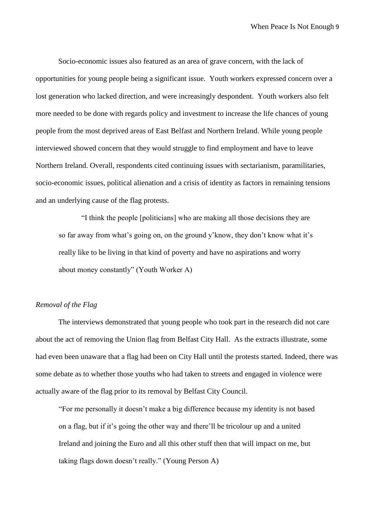Socio-economic issues also featured as an area of grave concern, with the lack of opportunities for young people being a significant issue. Youth workers expressed concern over a lost generation who lacked direction, and were increasingly despondent. Youth workers also felt more needed to be done with regards policy and investment to increase the life chances of young people from the most deprived areas of East Belfast and Northern Ireland. While young people interviewed showed concern that they would struggle to find employment and have to leave Northern Ireland. Overall, respondents cited continuing issues with sectarianism, paramilitaries, socio-economic issues, political alienation and a crisis of identity as factors in remaining tensions and an underlying cause of the flag protests.

"I think the people [politicians] who are making all those decisions they are so far away from what's going on, on the ground y'know, they don't know what it's really like to be living in that kind of poverty and have no aspirations and worry about money constantly" (Youth Worker A)

# *Removal of the Flag*

The interviews demonstrated that young people who took part in the research did not care about the act of removing the Union flag from Belfast City Hall. As the extracts illustrate, some had even been unaware that a flag had been on City Hall until the protests started. Indeed, there was some debate as to whether those youths who had taken to streets and engaged in violence were actually aware of the flag prior to its removal by Belfast City Council.

"For me personally it doesn't make a big difference because my identity is not based on a flag, but if it's going the other way and there'll be tricolour up and a united Ireland and joining the Euro and all this other stuff then that will impact on me, but taking flags down doesn't really." (Young Person A)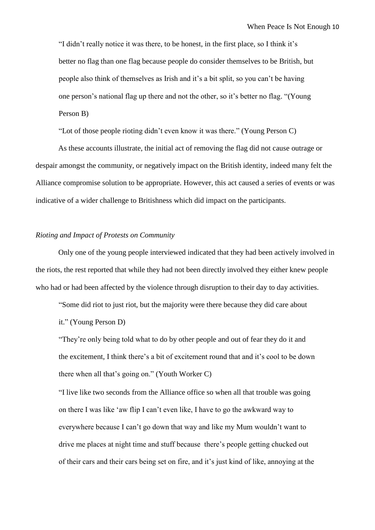"I didn't really notice it was there, to be honest, in the first place, so I think it's better no flag than one flag because people do consider themselves to be British, but people also think of themselves as Irish and it's a bit split, so you can't be having one person's national flag up there and not the other, so it's better no flag. "(Young Person B)

"Lot of those people rioting didn't even know it was there." (Young Person C)

As these accounts illustrate, the initial act of removing the flag did not cause outrage or despair amongst the community, or negatively impact on the British identity, indeed many felt the Alliance compromise solution to be appropriate. However, this act caused a series of events or was indicative of a wider challenge to Britishness which did impact on the participants.

## *Rioting and Impact of Protests on Community*

Only one of the young people interviewed indicated that they had been actively involved in the riots, the rest reported that while they had not been directly involved they either knew people who had or had been affected by the violence through disruption to their day to day activities.

"Some did riot to just riot, but the majority were there because they did care about it." (Young Person D)

"They're only being told what to do by other people and out of fear they do it and the excitement, I think there's a bit of excitement round that and it's cool to be down there when all that's going on." (Youth Worker C)

"I live like two seconds from the Alliance office so when all that trouble was going on there I was like 'aw flip I can't even like, I have to go the awkward way to everywhere because I can't go down that way and like my Mum wouldn't want to drive me places at night time and stuff because there's people getting chucked out of their cars and their cars being set on fire, and it's just kind of like, annoying at the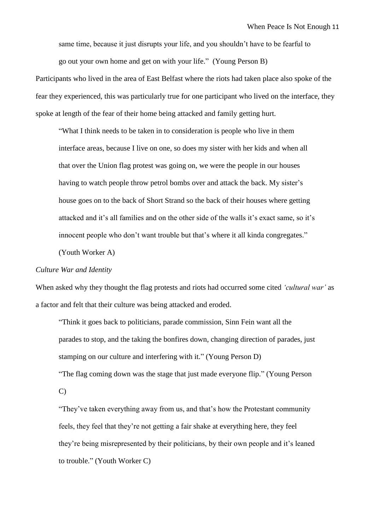same time, because it just disrupts your life, and you shouldn't have to be fearful to

go out your own home and get on with your life." (Young Person B)

Participants who lived in the area of East Belfast where the riots had taken place also spoke of the fear they experienced, this was particularly true for one participant who lived on the interface, they spoke at length of the fear of their home being attacked and family getting hurt.

"What I think needs to be taken in to consideration is people who live in them interface areas, because I live on one, so does my sister with her kids and when all that over the Union flag protest was going on, we were the people in our houses having to watch people throw petrol bombs over and attack the back. My sister's house goes on to the back of Short Strand so the back of their houses where getting attacked and it's all families and on the other side of the walls it's exact same, so it's innocent people who don't want trouble but that's where it all kinda congregates."

(Youth Worker A)

#### *Culture War and Identity*

When asked why they thought the flag protests and riots had occurred some cited *'cultural war'* as a factor and felt that their culture was being attacked and eroded.

"Think it goes back to politicians, parade commission, Sinn Fein want all the parades to stop, and the taking the bonfires down, changing direction of parades, just stamping on our culture and interfering with it." (Young Person D) "The flag coming down was the stage that just made everyone flip." (Young Person C)

"They've taken everything away from us, and that's how the Protestant community feels, they feel that they're not getting a fair shake at everything here, they feel they're being misrepresented by their politicians, by their own people and it's leaned to trouble." (Youth Worker C)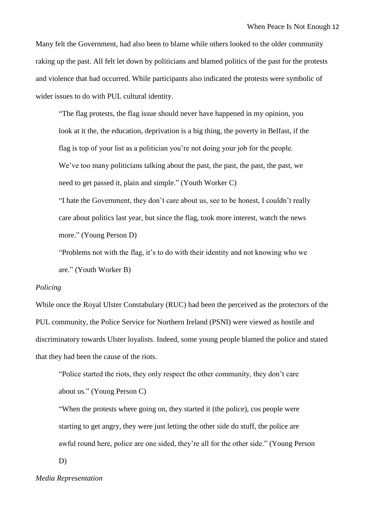Many felt the Government, had also been to blame while others looked to the older community raking up the past. All felt let down by politicians and blamed politics of the past for the protests and violence that had occurred. While participants also indicated the protests were symbolic of wider issues to do with PUL cultural identity.

"The flag protests, the flag issue should never have happened in my opinion, you look at it the, the education, deprivation is a big thing, the poverty in Belfast, if the flag is top of your list as a politician you're not doing your job for the people. We've too many politicians talking about the past, the past, the past, the past, we need to get passed it, plain and simple." (Youth Worker C)

"I hate the Government, they don't care about us, see to be honest, I couldn't really care about politics last year, but since the flag, took more interest, watch the news more." (Young Person D)

"Problems not with the flag, it's to do with their identity and not knowing who we are." (Youth Worker B)

# *Policing*

While once the Royal Ulster Constabulary (RUC) had been the perceived as the protectors of the PUL community, the Police Service for Northern Ireland (PSNI) were viewed as hostile and discriminatory towards Ulster loyalists. Indeed, some young people blamed the police and stated that they had been the cause of the riots.

"Police started the riots, they only respect the other community, they don't care about us." (Young Person C)

"When the protests where going on, they started it (the police), cos people were starting to get angry, they were just letting the other side do stuff, the police are awful round here, police are one sided, they're all for the other side." (Young Person

D)

## *Media Representation*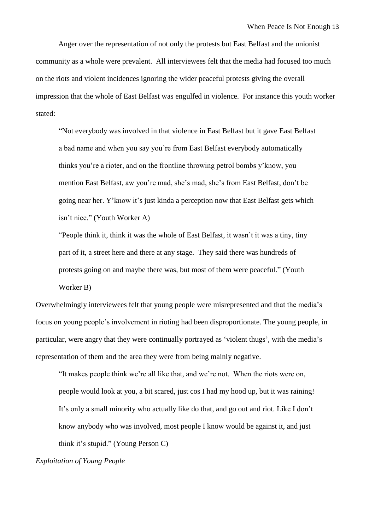Anger over the representation of not only the protests but East Belfast and the unionist community as a whole were prevalent. All interviewees felt that the media had focused too much on the riots and violent incidences ignoring the wider peaceful protests giving the overall impression that the whole of East Belfast was engulfed in violence. For instance this youth worker stated:

"Not everybody was involved in that violence in East Belfast but it gave East Belfast a bad name and when you say you're from East Belfast everybody automatically thinks you're a rioter, and on the frontline throwing petrol bombs y'know, you mention East Belfast, aw you're mad, she's mad, she's from East Belfast, don't be going near her. Y'know it's just kinda a perception now that East Belfast gets which isn't nice." (Youth Worker A)

"People think it, think it was the whole of East Belfast, it wasn't it was a tiny, tiny part of it, a street here and there at any stage. They said there was hundreds of protests going on and maybe there was, but most of them were peaceful." (Youth Worker B)

Overwhelmingly interviewees felt that young people were misrepresented and that the media's focus on young people's involvement in rioting had been disproportionate. The young people, in particular, were angry that they were continually portrayed as 'violent thugs', with the media's representation of them and the area they were from being mainly negative.

"It makes people think we're all like that, and we're not. When the riots were on, people would look at you, a bit scared, just cos I had my hood up, but it was raining! It's only a small minority who actually like do that, and go out and riot. Like I don't know anybody who was involved, most people I know would be against it, and just think it's stupid." (Young Person C)

*Exploitation of Young People*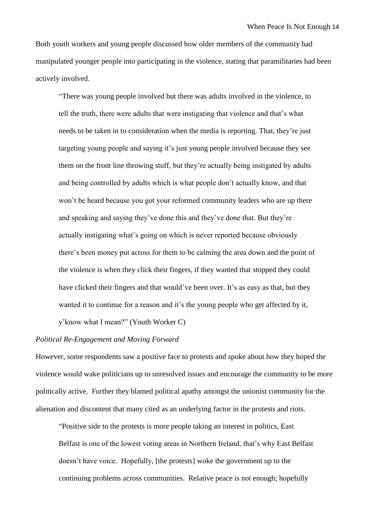Both youth workers and young people discussed how older members of the community had manipulated younger people into participating in the violence, stating that paramilitaries had been actively involved.

"There was young people involved but there was adults involved in the violence, to tell the truth, there were adults that were instigating that violence and that's what needs to be taken in to consideration when the media is reporting. That, they're just targeting young people and saying it's just young people involved because they see them on the front line throwing stuff, but they're actually being instigated by adults and being controlled by adults which is what people don't actually know, and that won't be heard because you got your reformed community leaders who are up there and speaking and saying they've done this and they've done that. But they're actually instigating what's going on which is never reported because obviously there's been money put across for them to be calming the area down and the point of the violence is when they click their fingers, if they wanted that stopped they could have clicked their fingers and that would've been over. It's as easy as that, but they wanted it to continue for a reason and it's the young people who get affected by it,

y'know what I mean?" (Youth Worker C)

### *Political Re-Engagement and Moving Forward*

However, some respondents saw a positive face to protests and spoke about how they hoped the violence would wake politicians up to unresolved issues and encourage the community to be more politically active. Further they blamed political apathy amongst the unionist community for the alienation and discontent that many cited as an underlying factor in the protests and riots.

"Positive side to the protests is more people taking an interest in politics, East Belfast is one of the lowest voting areas in Northern Ireland, that's why East Belfast doesn't have voice. Hopefully, [the protests] woke the government up to the continuing problems across communities. Relative peace is not enough; hopefully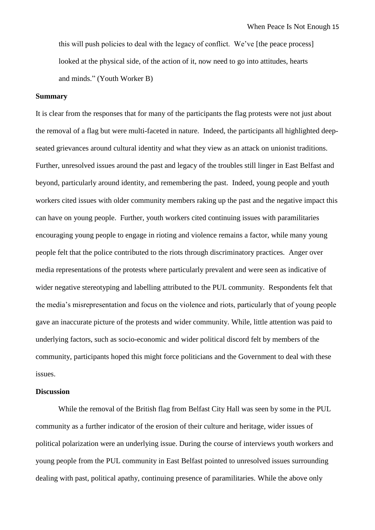this will push policies to deal with the legacy of conflict. We've [the peace process] looked at the physical side, of the action of it, now need to go into attitudes, hearts and minds." (Youth Worker B)

### **Summary**

It is clear from the responses that for many of the participants the flag protests were not just about the removal of a flag but were multi-faceted in nature. Indeed, the participants all highlighted deepseated grievances around cultural identity and what they view as an attack on unionist traditions. Further, unresolved issues around the past and legacy of the troubles still linger in East Belfast and beyond, particularly around identity, and remembering the past. Indeed, young people and youth workers cited issues with older community members raking up the past and the negative impact this can have on young people. Further, youth workers cited continuing issues with paramilitaries encouraging young people to engage in rioting and violence remains a factor, while many young people felt that the police contributed to the riots through discriminatory practices. Anger over media representations of the protests where particularly prevalent and were seen as indicative of wider negative stereotyping and labelling attributed to the PUL community. Respondents felt that the media's misrepresentation and focus on the violence and riots, particularly that of young people gave an inaccurate picture of the protests and wider community. While, little attention was paid to underlying factors, such as socio-economic and wider political discord felt by members of the community, participants hoped this might force politicians and the Government to deal with these issues.

### **Discussion**

While the removal of the British flag from Belfast City Hall was seen by some in the PUL community as a further indicator of the erosion of their culture and heritage, wider issues of political polarization were an underlying issue. During the course of interviews youth workers and young people from the PUL community in East Belfast pointed to unresolved issues surrounding dealing with past, political apathy, continuing presence of paramilitaries. While the above only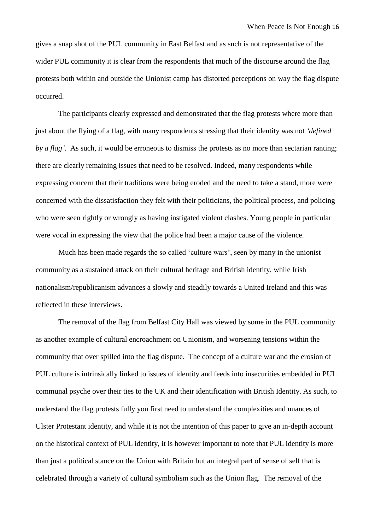gives a snap shot of the PUL community in East Belfast and as such is not representative of the wider PUL community it is clear from the respondents that much of the discourse around the flag protests both within and outside the Unionist camp has distorted perceptions on way the flag dispute occurred.

The participants clearly expressed and demonstrated that the flag protests where more than just about the flying of a flag, with many respondents stressing that their identity was not *'defined by a flag'*. As such, it would be erroneous to dismiss the protests as no more than sectarian ranting; there are clearly remaining issues that need to be resolved. Indeed, many respondents while expressing concern that their traditions were being eroded and the need to take a stand, more were concerned with the dissatisfaction they felt with their politicians, the political process, and policing who were seen rightly or wrongly as having instigated violent clashes. Young people in particular were vocal in expressing the view that the police had been a major cause of the violence.

Much has been made regards the so called 'culture wars', seen by many in the unionist community as a sustained attack on their cultural heritage and British identity, while Irish nationalism/republicanism advances a slowly and steadily towards a United Ireland and this was reflected in these interviews.

The removal of the flag from Belfast City Hall was viewed by some in the PUL community as another example of cultural encroachment on Unionism, and worsening tensions within the community that over spilled into the flag dispute. The concept of a culture war and the erosion of PUL culture is intrinsically linked to issues of identity and feeds into insecurities embedded in PUL communal psyche over their ties to the UK and their identification with British Identity. As such, to understand the flag protests fully you first need to understand the complexities and nuances of Ulster Protestant identity, and while it is not the intention of this paper to give an in-depth account on the historical context of PUL identity, it is however important to note that PUL identity is more than just a political stance on the Union with Britain but an integral part of sense of self that is celebrated through a variety of cultural symbolism such as the Union flag. The removal of the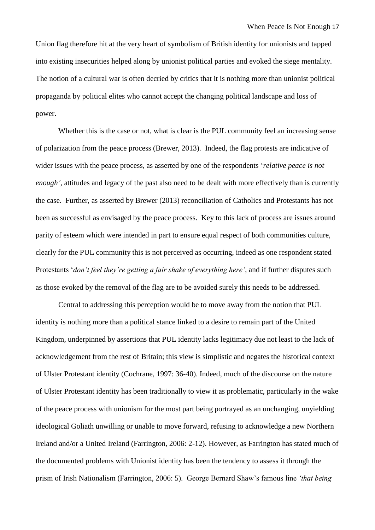Union flag therefore hit at the very heart of symbolism of British identity for unionists and tapped into existing insecurities helped along by unionist political parties and evoked the siege mentality. The notion of a cultural war is often decried by critics that it is nothing more than unionist political propaganda by political elites who cannot accept the changing political landscape and loss of power.

Whether this is the case or not, what is clear is the PUL community feel an increasing sense of polarization from the peace process (Brewer, 2013). Indeed, the flag protests are indicative of wider issues with the peace process, as asserted by one of the respondents '*relative peace is not enough'*, attitudes and legacy of the past also need to be dealt with more effectively than is currently the case. Further, as asserted by Brewer (2013) reconciliation of Catholics and Protestants has not been as successful as envisaged by the peace process. Key to this lack of process are issues around parity of esteem which were intended in part to ensure equal respect of both communities culture, clearly for the PUL community this is not perceived as occurring, indeed as one respondent stated Protestants '*don't feel they're getting a fair shake of everything here'*, and if further disputes such as those evoked by the removal of the flag are to be avoided surely this needs to be addressed.

Central to addressing this perception would be to move away from the notion that PUL identity is nothing more than a political stance linked to a desire to remain part of the United Kingdom, underpinned by assertions that PUL identity lacks legitimacy due not least to the lack of acknowledgement from the rest of Britain; this view is simplistic and negates the historical context of Ulster Protestant identity (Cochrane, 1997: 36-40). Indeed, much of the discourse on the nature of Ulster Protestant identity has been traditionally to view it as problematic, particularly in the wake of the peace process with unionism for the most part being portrayed as an unchanging, unyielding ideological Goliath unwilling or unable to move forward, refusing to acknowledge a new Northern Ireland and/or a United Ireland (Farrington, 2006: 2-12). However, as Farrington has stated much of the documented problems with Unionist identity has been the tendency to assess it through the prism of Irish Nationalism (Farrington, 2006: 5). George Bernard Shaw's famous line *'that being*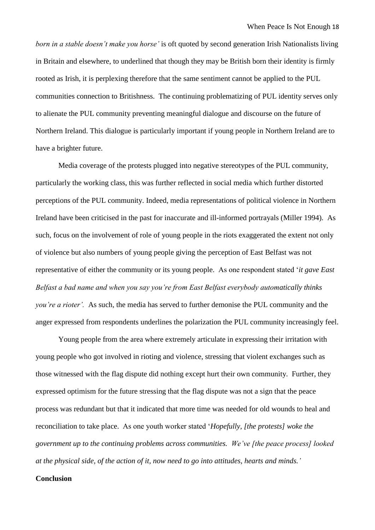*born in a stable doesn't make you horse'* is oft quoted by second generation Irish Nationalists living in Britain and elsewhere, to underlined that though they may be British born their identity is firmly rooted as Irish, it is perplexing therefore that the same sentiment cannot be applied to the PUL communities connection to Britishness. The continuing problematizing of PUL identity serves only to alienate the PUL community preventing meaningful dialogue and discourse on the future of Northern Ireland. This dialogue is particularly important if young people in Northern Ireland are to have a brighter future.

Media coverage of the protests plugged into negative stereotypes of the PUL community, particularly the working class, this was further reflected in social media which further distorted perceptions of the PUL community. Indeed, media representations of political violence in Northern Ireland have been criticised in the past for inaccurate and ill-informed portrayals (Miller 1994). As such, focus on the involvement of role of young people in the riots exaggerated the extent not only of violence but also numbers of young people giving the perception of East Belfast was not representative of either the community or its young people. As one respondent stated '*it gave East Belfast a bad name and when you say you're from East Belfast everybody automatically thinks you're a rioter'.* As such, the media has served to further demonise the PUL community and the anger expressed from respondents underlines the polarization the PUL community increasingly feel.

Young people from the area where extremely articulate in expressing their irritation with young people who got involved in rioting and violence, stressing that violent exchanges such as those witnessed with the flag dispute did nothing except hurt their own community. Further, they expressed optimism for the future stressing that the flag dispute was not a sign that the peace process was redundant but that it indicated that more time was needed for old wounds to heal and reconciliation to take place. As one youth worker stated '*Hopefully, [the protests] woke the government up to the continuing problems across communities. We've [the peace process] looked at the physical side, of the action of it, now need to go into attitudes, hearts and minds.'*

# **Conclusion**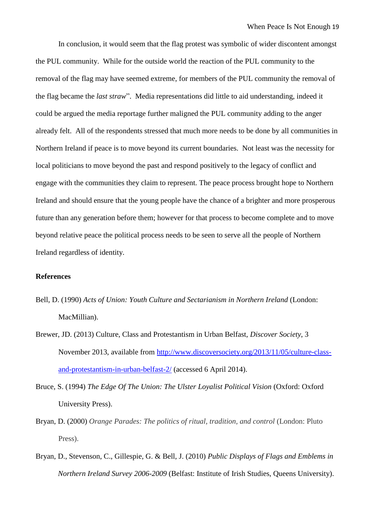In conclusion, it would seem that the flag protest was symbolic of wider discontent amongst the PUL community. While for the outside world the reaction of the PUL community to the removal of the flag may have seemed extreme, for members of the PUL community the removal of the flag became the *last straw*". Media representations did little to aid understanding, indeed it could be argued the media reportage further maligned the PUL community adding to the anger already felt. All of the respondents stressed that much more needs to be done by all communities in Northern Ireland if peace is to move beyond its current boundaries. Not least was the necessity for local politicians to move beyond the past and respond positively to the legacy of conflict and engage with the communities they claim to represent. The peace process brought hope to Northern Ireland and should ensure that the young people have the chance of a brighter and more prosperous future than any generation before them; however for that process to become complete and to move beyond relative peace the political process needs to be seen to serve all the people of Northern Ireland regardless of identity.

# **References**

- Bell, D. (1990) *Acts of Union: Youth Culture and Sectarianism in Northern Ireland* (London: MacMillian).
- Brewer, JD. (2013) Culture, Class and Protestantism in Urban Belfast, *Discover Society*, 3 November 2013, available from [http://www.discoversociety.org/2013/11/05/culture-class](http://www.discoversociety.org/2013/11/05/culture-class-and-protestantism-in-urban-belfast-2/)[and-protestantism-in-urban-belfast-2/](http://www.discoversociety.org/2013/11/05/culture-class-and-protestantism-in-urban-belfast-2/) (accessed 6 April 2014).
- Bruce, S. (1994) *The Edge Of The Union: The Ulster Loyalist Political Vision* (Oxford: Oxford University Press).
- Bryan, D. (2000) *Orange Parades: The politics of ritual, tradition, and control* (London: Pluto Press).
- Bryan, D., Stevenson, C., Gillespie, G. & Bell, J. (2010) *Public Displays of Flags and Emblems in Northern Ireland Survey 2006-2009* (Belfast: Institute of Irish Studies, Queens University).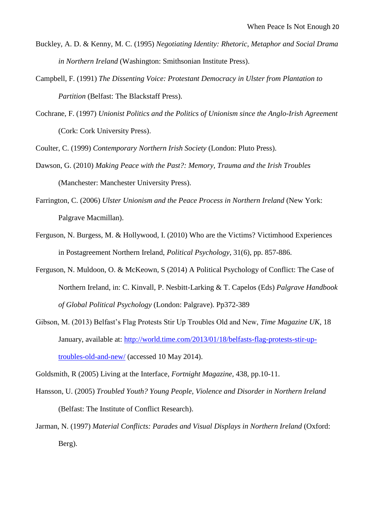- Buckley, A. D. & Kenny, M. C. (1995) *Negotiating Identity: Rhetoric, Metaphor and Social Drama in Northern Ireland* (Washington: Smithsonian Institute Press).
- Campbell, F. (1991) *The Dissenting Voice: Protestant Democracy in Ulster from Plantation to Partition* (Belfast: The Blackstaff Press).
- Cochrane, F. (1997) *Unionist Politics and the Politics of Unionism since the Anglo-Irish Agreement* (Cork: Cork University Press).

Coulter, C. (1999) *Contemporary Northern Irish Society* (London: Pluto Press).

- Dawson, G. (2010) *Making Peace with the Past?: Memory, Trauma and the Irish Troubles* (Manchester: Manchester University Press).
- Farrington, C. (2006) *Ulster Unionism and the Peace Process in Northern Ireland* (New York: Palgrave Macmillan).
- Ferguson, N. Burgess, M. & Hollywood, I. (2010) Who are the Victims? Victimhood Experiences in Postagreement Northern Ireland, *Political Psychology*, 31(6), pp. 857-886.
- Ferguson, N. Muldoon, O. & McKeown, S (2014) A Political Psychology of Conflict: The Case of Northern Ireland, in: C. Kinvall, P. Nesbitt-Larking & T. Capelos (Eds) *Palgrave Handbook of Global Political Psychology* (London: Palgrave). Pp372-389
- Gibson, M. (2013) Belfast's Flag Protests Stir Up Troubles Old and New, *Time Magazine UK*, 18 January, available at: [http://world.time.com/2013/01/18/belfasts-flag-protests-stir-up](http://world.time.com/2013/01/18/belfasts-flag-protests-stir-up-troubles-old-and-new/)[troubles-old-and-new/](http://world.time.com/2013/01/18/belfasts-flag-protests-stir-up-troubles-old-and-new/) (accessed 10 May 2014).
- Goldsmith, R (2005) Living at the Interface, *Fortnight Magazine,* 438, pp.10-11.
- Hansson, U. (2005) *Troubled Youth? Young People, Violence and Disorder in Northern Ireland*  (Belfast: The Institute of Conflict Research).
- Jarman, N. (1997) *Material Conflicts: Parades and Visual Displays in Northern Ireland* (Oxford: Berg).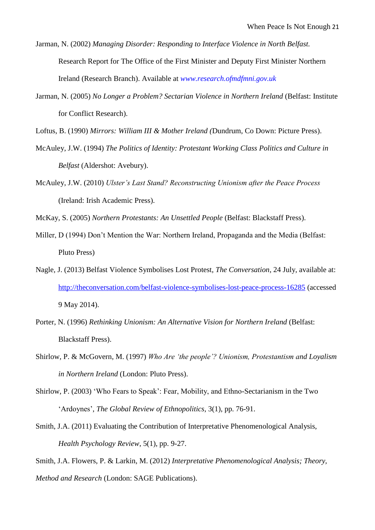- Jarman, N. (2002) *Managing Disorder: Responding to Interface Violence in North Belfast.* Research Report for The Office of the First Minister and Deputy First Minister Northern Ireland (Research Branch). Available at *[www.research.ofmdfmni.gov.uk](http://www.research.ofmdfmni.gov.uk/)*
- Jarman, N. (2005) *No Longer a Problem? Sectarian Violence in Northern Ireland* (Belfast: Institute for Conflict Research).
- Loftus, B. (1990) *Mirrors: William III & Mother Ireland (*Dundrum, Co Down: Picture Press).
- McAuley, J.W. (1994) *The Politics of Identity: Protestant Working Class Politics and Culture in Belfast* (Aldershot: Avebury).
- McAuley, J.W. (2010) *Ulster's Last Stand? Reconstructing Unionism after the Peace Process* (Ireland: Irish Academic Press).

McKay, S. (2005) *Northern Protestants: An Unsettled People* (Belfast: Blackstaff Press).

- Miller, D (1994) Don't Mention the War: Northern Ireland, Propaganda and the Media (Belfast: Pluto Press)
- Nagle, J. (2013) Belfast Violence Symbolises Lost Protest, *The Conversation*, 24 July, available at: <http://theconversation.com/belfast-violence-symbolises-lost-peace-process-16285> (accessed 9 May 2014).
- Porter, N. (1996) *Rethinking Unionism: An Alternative Vision for Northern Ireland* (Belfast: Blackstaff Press).
- Shirlow, P. & McGovern, M. (1997) *Who Are 'the people'? Unionism, Protestantism and Loyalism in Northern Ireland* (London: Pluto Press).

Shirlow, P. (2003) 'Who Fears to Speak': Fear, Mobility, and Ethno-Sectarianism in the Two 'Ardoynes', *The Global Review of Ethnopolitics,* 3(1), pp. 76-91.

Smith, J.A. (2011) Evaluating the Contribution of Interpretative Phenomenological Analysis, *Health Psychology Review*, 5(1), pp. 9-27.

Smith, J.A. Flowers, P. & Larkin, M. (2012) *Interpretative Phenomenological Analysis; Theory, Method and Research* (London: SAGE Publications).